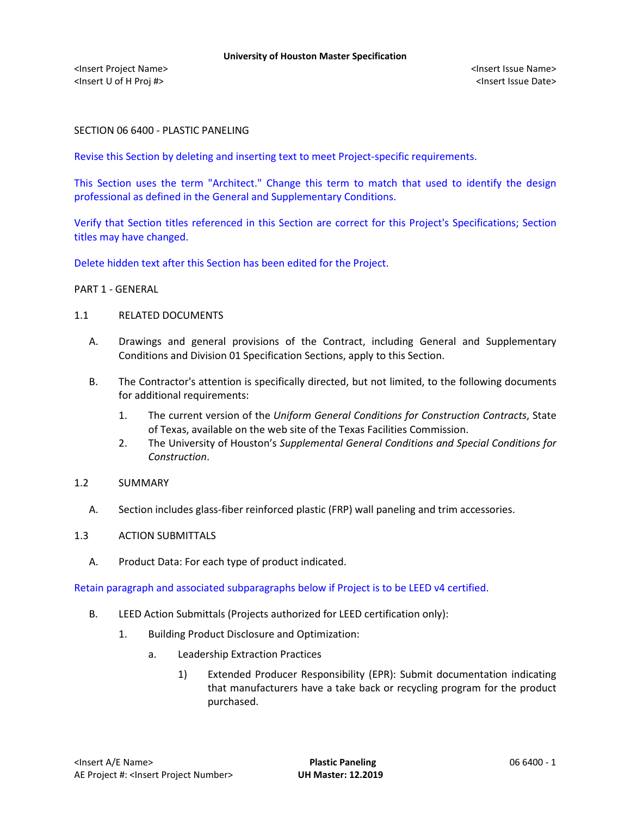### SECTION 06 6400 - PLASTIC PANELING

Revise this Section by deleting and inserting text to meet Project-specific requirements.

This Section uses the term "Architect." Change this term to match that used to identify the design professional as defined in the General and Supplementary Conditions.

Verify that Section titles referenced in this Section are correct for this Project's Specifications; Section titles may have changed.

Delete hidden text after this Section has been edited for the Project.

### PART 1 - GENERAL

### 1.1 RELATED DOCUMENTS

- A. Drawings and general provisions of the Contract, including General and Supplementary Conditions and Division 01 Specification Sections, apply to this Section.
- B. The Contractor's attention is specifically directed, but not limited, to the following documents for additional requirements:
	- 1. The current version of the *Uniform General Conditions for Construction Contracts*, State of Texas, available on the web site of the Texas Facilities Commission.
	- 2. The University of Houston's *Supplemental General Conditions and Special Conditions for Construction*.

### 1.2 SUMMARY

A. Section includes glass-fiber reinforced plastic (FRP) wall paneling and trim accessories.

### 1.3 ACTION SUBMITTALS

A. Product Data: For each type of product indicated.

Retain paragraph and associated subparagraphs below if Project is to be LEED v4 certified.

- B. LEED Action Submittals (Projects authorized for LEED certification only):
	- 1. Building Product Disclosure and Optimization:
		- a. Leadership Extraction Practices
			- 1) Extended Producer Responsibility (EPR): Submit documentation indicating that manufacturers have a take back or recycling program for the product purchased.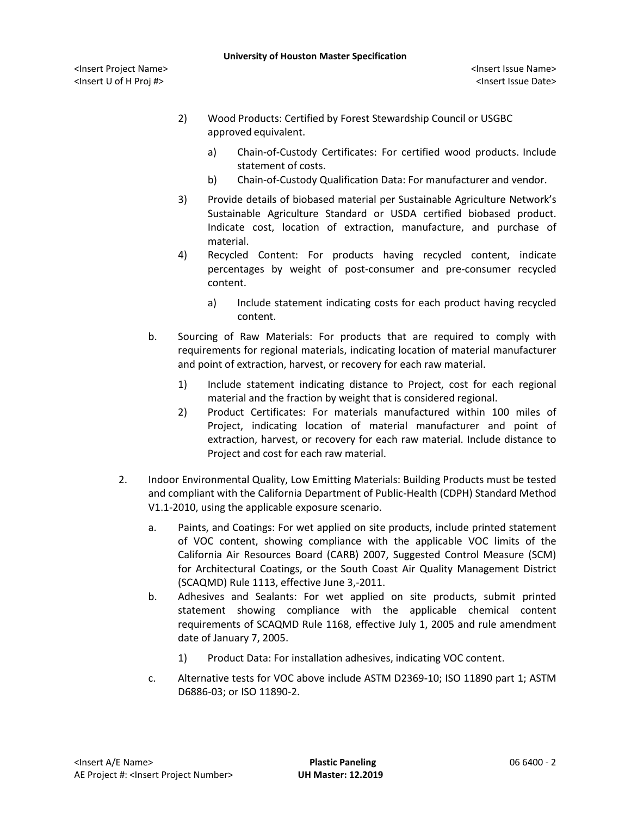- 2) Wood Products: Certified by Forest Stewardship Council or USGBC approved equivalent.
	- a) [Chain-of-Custody Certificates:](http://www.arcomnet.com/sustainable_design.aspx?topic=146) For certified wood products. Include statement of costs.
	- b) [Chain-of-Custody Qualification Data:](http://www.arcomnet.com/sustainable_design.aspx?topic=148) For manufacturer and vendor.
- 3) Provide details of biobased material per Sustainable Agriculture Network's Sustainable Agriculture Standard or USDA certified biobased product. Indicate cost, location of extraction, manufacture, and purchase of material.
- 4) Recycled Content: For products having recycled content, indicate percentages by weight of post-consumer and pre-consumer recycled content.
	- a) Include statement indicating costs for each product having recycled content.
- b. Sourcing of Raw Materials: For products that are required to comply with requirements for regional materials, indicating location of material manufacturer and point of extraction, harvest, or recovery for each raw material.
	- 1) Include statement indicating distance to Project, cost for each regional material and the fraction by weight that is considered regional.
	- 2) Product Certificates: For materials manufactured within 100 miles of Project, indicating location of material manufacturer and point of extraction, harvest, or recovery for each raw material. Include distance to Project and cost for each raw material.
- 2. Indoor Environmental Quality, Low Emitting Materials: Building Products must be tested and compliant with the California Department of Public-Health (CDPH) Standard Method V1.1-2010, using the applicable exposure scenario.
	- a. Paints, and Coatings: For wet applied on site products, include printed statement of VOC content, showing compliance with the applicable VOC limits of the California Air Resources Board (CARB) 2007, Suggested Control Measure (SCM) for Architectural Coatings, or the South Coast Air Quality Management District (SCAQMD) Rule 1113, effective June 3,-2011.
	- b. Adhesives and Sealants: For wet applied on site products, submit printed statement showing compliance with the applicable chemical content requirements of SCAQMD Rule 1168, effective July 1, 2005 and rule amendment date of January 7, 2005.
		- 1) Product Data: For installation adhesives, indicating VOC content.
	- c. Alternative tests for VOC above include ASTM D2369-10; ISO 11890 part 1; ASTM D6886-03; or ISO 11890-2.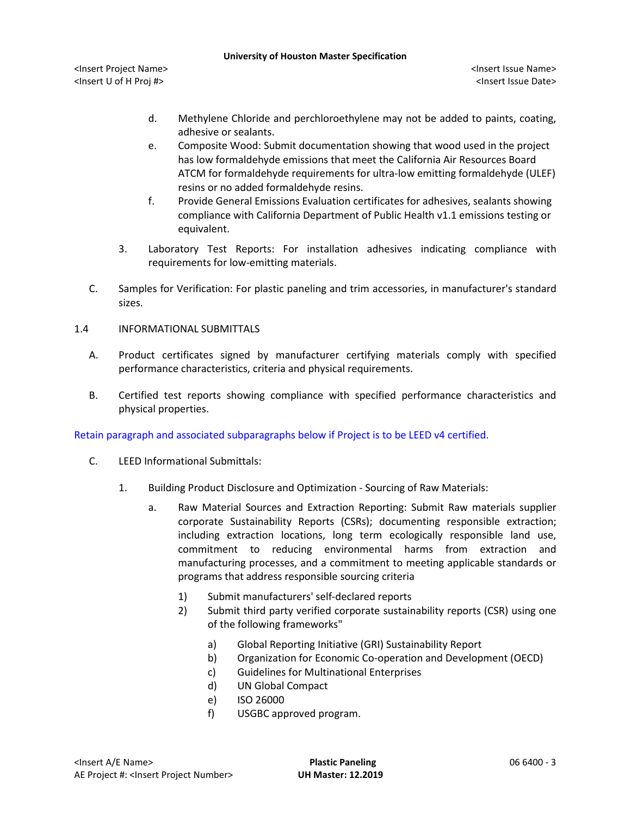#### **University of Houston Master Specification**

<Insert Project Name> <Insert Issue Name> <Insert U of H Proj #> <Insert Issue Date>

- d. Methylene Chloride and perchloroethylene may not be added to paints, coating, adhesive or sealants.
- e. Composite Wood: Submit documentation showing that wood used in the project has low formaldehyde emissions that meet the California Air Resources Board ATCM for formaldehyde requirements for ultra-low emitting formaldehyde (ULEF) resins or no added formaldehyde resins.
- f. Provide General Emissions Evaluation certificates for adhesives, sealants showing compliance with California Department of Public Health v1.1 emissions testing or equivalent.
- 3. Laboratory Test Reports: For installation adhesives indicating compliance with requirements for low-emitting materials.
- C. Samples for Verification: For plastic paneling and trim accessories, in manufacturer's standard sizes.
- 1.4 INFORMATIONAL SUBMITTALS
	- A. Product certificates signed by manufacturer certifying materials comply with specified performance characteristics, criteria and physical requirements.
	- B. Certified test reports showing compliance with specified performance characteristics and physical properties.

Retain paragraph and associated subparagraphs below if Project is to be LEED v4 certified.

- C. LEED Informational Submittals:
	- 1. Building Product Disclosure and Optimization Sourcing of Raw Materials:
		- a. Raw Material Sources and Extraction Reporting: Submit Raw materials supplier corporate Sustainability Reports (CSRs); documenting responsible extraction; including extraction locations, long term ecologically responsible land use, commitment to reducing environmental harms from extraction and manufacturing processes, and a commitment to meeting applicable standards or programs that address responsible sourcing criteria
			- 1) Submit manufacturers' self-declared reports
			- 2) Submit third party verified corporate sustainability reports (CSR) using one of the following frameworks"
				- a) Global Reporting Initiative (GRI) Sustainability Report
				- b) Organization for Economic Co-operation and Development (OECD)
				- c) Guidelines for Multinational Enterprises
				- d) UN Global Compact
				- e) ISO 26000
				- f) USGBC approved program.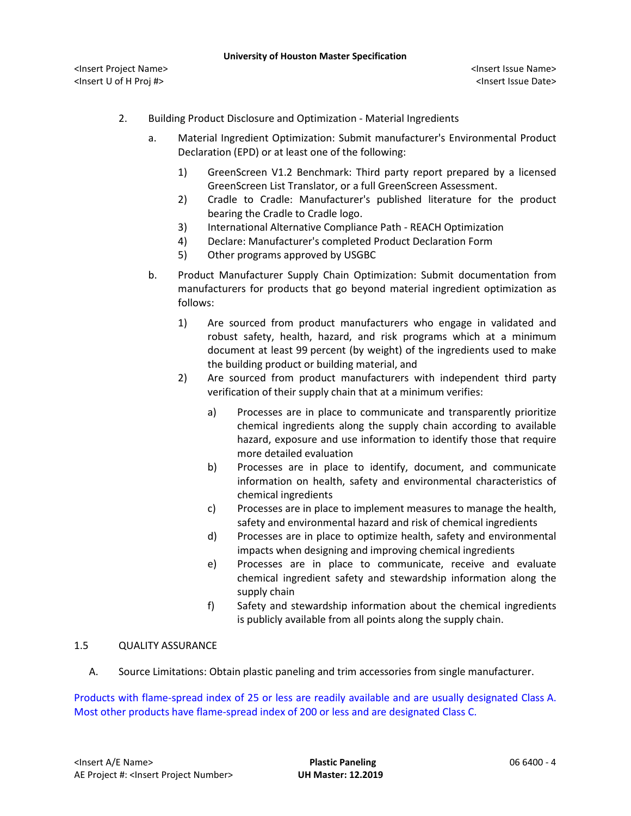- 2. Building Product Disclosure and Optimization Material Ingredients
	- a. Material Ingredient Optimization: Submit manufacturer's Environmental Product Declaration (EPD) or at least one of the following:
		- 1) GreenScreen V1.2 Benchmark: Third party report prepared by a licensed GreenScreen List Translator, or a full GreenScreen Assessment.
		- 2) Cradle to Cradle: Manufacturer's published literature for the product bearing the Cradle to Cradle logo.
		- 3) International Alternative Compliance Path REACH Optimization
		- 4) Declare: Manufacturer's completed Product Declaration Form
		- 5) Other programs approved by USGBC
	- b. Product Manufacturer Supply Chain Optimization: Submit documentation from manufacturers for products that go beyond material ingredient optimization as follows:
		- 1) Are sourced from product manufacturers who engage in validated and robust safety, health, hazard, and risk programs which at a minimum document at least 99 percent (by weight) of the ingredients used to make the building product or building material, and
		- 2) Are sourced from product manufacturers with independent third party verification of their supply chain that at a minimum verifies:
			- a) Processes are in place to communicate and transparently prioritize chemical ingredients along the supply chain according to available hazard, exposure and use information to identify those that require more detailed evaluation
			- b) Processes are in place to identify, document, and communicate information on health, safety and environmental characteristics of chemical ingredients
			- c) Processes are in place to implement measures to manage the health, safety and environmental hazard and risk of chemical ingredients
			- d) Processes are in place to optimize health, safety and environmental impacts when designing and improving chemical ingredients
			- e) Processes are in place to communicate, receive and evaluate chemical ingredient safety and stewardship information along the supply chain
			- f) Safety and stewardship information about the chemical ingredients is publicly available from all points along the supply chain.

### 1.5 QUALITY ASSURANCE

A. Source Limitations: Obtain plastic paneling and trim accessories from single manufacturer.

Products with flame-spread index of 25 or less are readily available and are usually designated Class A. Most other products have flame-spread index of 200 or less and are designated Class C.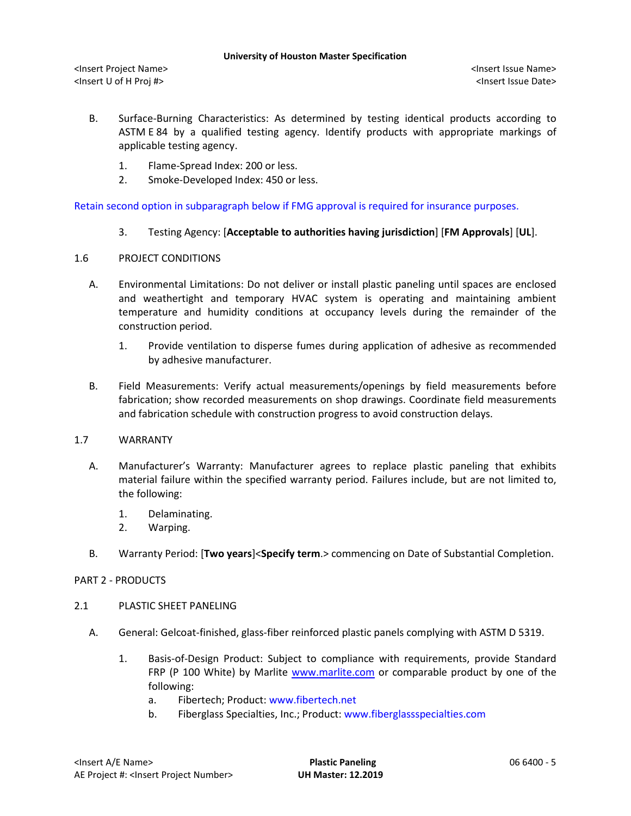- B. Surface-Burning Characteristics: As determined by testing identical products according to ASTM E 84 by a qualified testing agency. Identify products with appropriate markings of applicable testing agency.
	- 1. Flame-Spread Index: 200 or less.
	- 2. Smoke-Developed Index: 450 or less.

Retain second option in subparagraph below if FMG approval is required for insurance purposes.

3. Testing Agency: [**Acceptable to authorities having jurisdiction**] [**FM Approvals**] [**UL**].

### 1.6 PROJECT CONDITIONS

- A. Environmental Limitations: Do not deliver or install plastic paneling until spaces are enclosed and weathertight and temporary HVAC system is operating and maintaining ambient temperature and humidity conditions at occupancy levels during the remainder of the construction period.
	- 1. Provide ventilation to disperse fumes during application of adhesive as recommended by adhesive manufacturer.
- B. Field Measurements: Verify actual measurements/openings by field measurements before fabrication; show recorded measurements on shop drawings. Coordinate field measurements and fabrication schedule with construction progress to avoid construction delays.

### 1.7 WARRANTY

- A. Manufacturer's Warranty: Manufacturer agrees to replace plastic paneling that exhibits material failure within the specified warranty period. Failures include, but are not limited to, the following:
	- 1. Delaminating.
	- 2. Warping.
- B. Warranty Period: [**Two years**]<**Specify term**.> commencing on Date of Substantial Completion.

### PART 2 - PRODUCTS

### 2.1 PLASTIC SHEET PANELING

- A. General: Gelcoat-finished, glass-fiber reinforced plastic panels complying with ASTM D 5319.
	- 1. [Basis-of-Design Product:](http://www.specagent.com/LookUp/?ulid=1605&mf=04&src=wd) Subject to compliance with requirements, provide Standard FRP (P 100 White) by Marlite [www.marlite.com](http://www.marlite.com/) or comparable product by one of the following:
		- a. Fibertech; Product: [www.fibertech.net](http://www.fibertech.net/)
		- b. Fiberglass Specialties, Inc.; Product: [www.fiberglassspecialties.com](http://www.fiberglassspecialties.com/)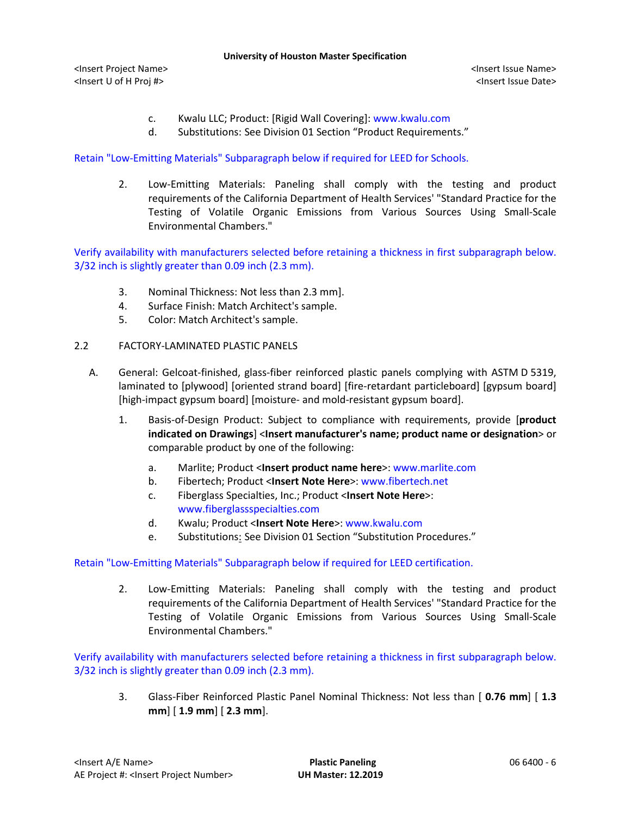#### **University of Houston Master Specification**

<Insert Project Name> <Insert Issue Name> <Insert U of H Proj #> <Insert Issue Date>

- c. Kwalu LLC; Product: [Rigid Wall Covering]: [www.kwalu.com](http://www.kwalu.com/)
- d. Substitutions: See Division 01 Section "Product Requirements."

Retain "Low-Emitting Materials" Subparagraph below if required for LEED for Schools.

2. Low-Emitting Materials: Paneling shall comply with the testing and product requirements of the California Department of Health Services' "Standard Practice for the Testing of Volatile Organic Emissions from Various Sources Using Small-Scale Environmental Chambers."

Verify availability with manufacturers selected before retaining a thickness in first subparagraph below. 3/32 inch is slightly greater than 0.09 inch (2.3 mm).

- 3. Nominal Thickness: Not less than 2.3 mm].
- 4. Surface Finish: Match Architect's sample.
- 5. Color: Match Architect's sample.
- 2.2 FACTORY-LAMINATED PLASTIC PANELS
	- A. General: Gelcoat-finished, glass-fiber reinforced plastic panels complying with ASTM D 5319, laminated to [plywood] [oriented strand board] [fire-retardant particleboard] [gypsum board] [high-impact gypsum board] [moisture- and mold-resistant gypsum board].
		- 1. [Basis-of-Design Product:](http://www.specagent.com/LookUp/?ulid=1605&mf=04&src=wd) Subject to compliance with requirements, provide [**product indicated on Drawings**] <**Insert manufacturer's name; product name or designation**> or comparable product by one of the following:
			- a. Marlite; Product <**Insert product name here**>[: www.marlite.com](http://www.marlite.com/)
			- b. Fibertech; Product <**Insert Note Here**>[: www.fibertech.net](http://www.fibertech.net/)
			- c. Fiberglass Specialties, Inc.; Product <**Insert Note Here**>: [www.fiberglassspecialties.com](http://www.fiberglassspecialties.com/)
			- d. Kwalu; Product <**Insert Note Here**>: [www.kwalu.com](http://www.kwalu.com/)
			- e. Substitutions: See Division 01 Section "Substitution Procedures."

Retain "Low-Emitting Materials" Subparagraph below if required for LEED certification.

2. Low-Emitting Materials: Paneling shall comply with the testing and product requirements of the California Department of Health Services' "Standard Practice for the Testing of Volatile Organic Emissions from Various Sources Using Small-Scale Environmental Chambers."

Verify availability with manufacturers selected before retaining a thickness in first subparagraph below. 3/32 inch is slightly greater than 0.09 inch (2.3 mm).

3. Glass-Fiber Reinforced Plastic Panel Nominal Thickness: Not less than [ **0.76 mm**] [ **1.3 mm**] [ **1.9 mm**] [ **2.3 mm**].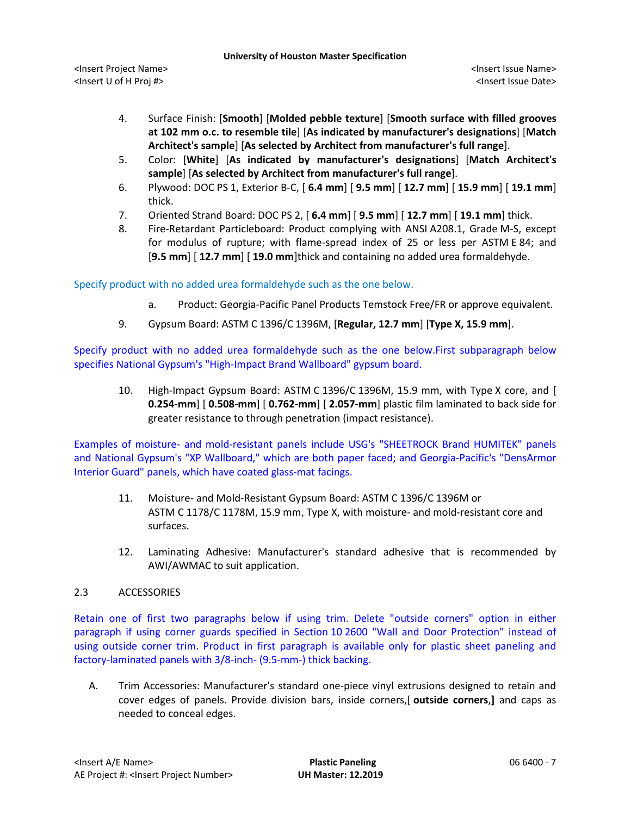- 4. Surface Finish: [**Smooth**] [**Molded pebble texture**] [**Smooth surface with filled grooves at 102 mm o.c. to resemble tile**] [**As indicated by manufacturer's designations**] [**Match Architect's sample**] [**As selected by Architect from manufacturer's full range**].
- 5. Color: [**White**] [**As indicated by manufacturer's designations**] [**Match Architect's sample**] [**As selected by Architect from manufacturer's full range**].
- 6. Plywood: DOC PS 1, Exterior B-C, [ **6.4 mm**] [ **9.5 mm**] [ **12.7 mm**] [ **15.9 mm**] [ **19.1 mm**] thick.
- 7. Oriented Strand Board: DOC PS 2, [ **6.4 mm**] [ **9.5 mm**] [ **12.7 mm**] [ **19.1 mm**] thick.
- 8. Fire-Retardant Particleboard: Product complying with ANSI A208.1, Grade M-S, except for modulus of rupture; with flame-spread index of 25 or less per ASTM E 84; and [**9.5 mm**] [ **12.7 mm**] [ **19.0 mm**]thick and containing no added urea formaldehyde.

Specify product with no added urea formaldehyde such as the one below.

- a. Product: Georgia-Pacific Panel Products Temstock Free/FR or approve equivalent.
- 9. Gypsum Board: ASTM C 1396/C 1396M, [**Regular, 12.7 mm**] [**Type X, 15.9 mm**].

Specify product with no added urea formaldehyde such as the one below.First subparagraph below specifies National Gypsum's "High-Impact Brand Wallboard" gypsum board.

10. High-Impact Gypsum Board: ASTM C 1396/C 1396M, 15.9 mm, with Type X core, and [ **0.254-mm**] [ **0.508-mm**] [ **0.762-mm**] [ **2.057-mm**] plastic film laminated to back side for greater resistance to through penetration (impact resistance).

Examples of moisture- and mold-resistant panels include USG's "SHEETROCK Brand HUMITEK" panels and National Gypsum's "XP Wallboard," which are both paper faced; and Georgia-Pacific's "DensArmor Interior Guard" panels, which have coated glass-mat facings.

- 11. Moisture- and Mold-Resistant Gypsum Board: ASTM C 1396/C 1396M or ASTM C 1178/C 1178M, 15.9 mm, Type X, with moisture- and mold-resistant core and surfaces.
- 12. Laminating Adhesive: Manufacturer's standard adhesive that is recommended by AWI/AWMAC to suit application.

# 2.3 ACCESSORIES

Retain one of first two paragraphs below if using trim. Delete "outside corners" option in either paragraph if using corner guards specified in Section 10 2600 "Wall and Door Protection" instead of using outside corner trim. Product in first paragraph is available only for plastic sheet paneling and factory-laminated panels with 3/8-inch- (9.5-mm-) thick backing.

A. Trim Accessories: Manufacturer's standard one-piece vinyl extrusions designed to retain and cover edges of panels. Provide division bars, inside corners,[ **outside corners**,**]** and caps as needed to conceal edges.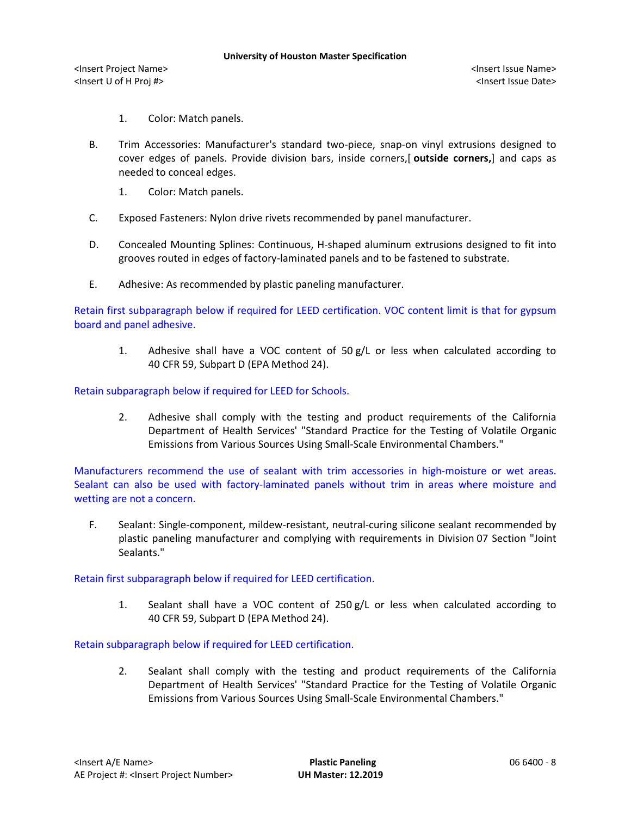- 1. Color: Match panels.
- B. Trim Accessories: Manufacturer's standard two-piece, snap-on vinyl extrusions designed to cover edges of panels. Provide division bars, inside corners,[ **outside corners,**] and caps as needed to conceal edges.
	- 1. Color: Match panels.
- C. Exposed Fasteners: Nylon drive rivets recommended by panel manufacturer.
- D. Concealed Mounting Splines: Continuous, H-shaped aluminum extrusions designed to fit into grooves routed in edges of factory-laminated panels and to be fastened to substrate.
- E. Adhesive: As recommended by plastic paneling manufacturer.

Retain first subparagraph below if required for LEED certification. VOC content limit is that for gypsum board and panel adhesive.

1. Adhesive shall have a VOC content of 50 g/L or less when calculated according to 40 CFR 59, Subpart D (EPA Method 24).

Retain subparagraph below if required for LEED for Schools.

2. Adhesive shall comply with the testing and product requirements of the California Department of Health Services' "Standard Practice for the Testing of Volatile Organic Emissions from Various Sources Using Small-Scale Environmental Chambers."

Manufacturers recommend the use of sealant with trim accessories in high-moisture or wet areas. Sealant can also be used with factory-laminated panels without trim in areas where moisture and wetting are not a concern.

F. Sealant: Single-component, mildew-resistant, neutral-curing silicone sealant recommended by plastic paneling manufacturer and complying with requirements in Division 07 Section "Joint Sealants."

### Retain first subparagraph below if required for LEED certification.

1. Sealant shall have a VOC content of 250 g/L or less when calculated according to 40 CFR 59, Subpart D (EPA Method 24).

### Retain subparagraph below if required for LEED certification.

2. Sealant shall comply with the testing and product requirements of the California Department of Health Services' "Standard Practice for the Testing of Volatile Organic Emissions from Various Sources Using Small-Scale Environmental Chambers."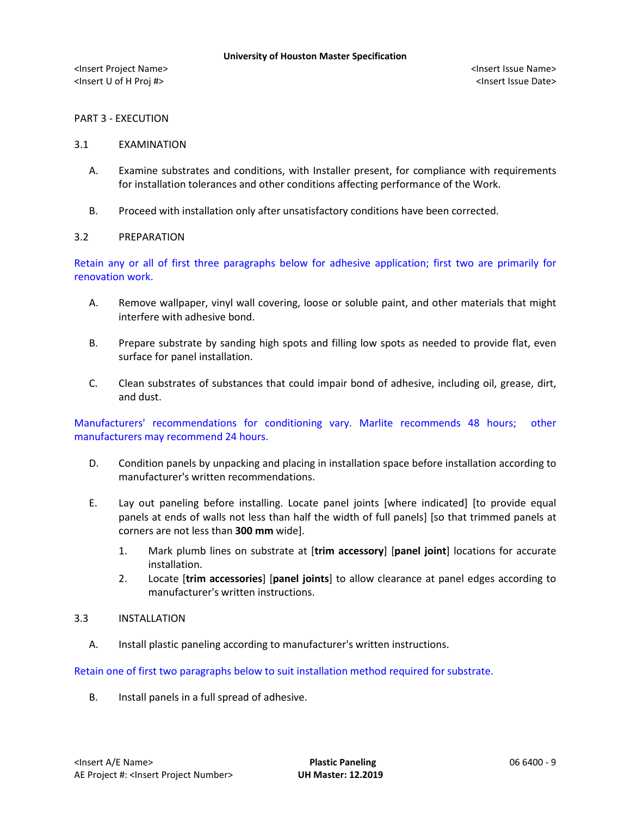## PART 3 - EXECUTION

### 3.1 EXAMINATION

- A. Examine substrates and conditions, with Installer present, for compliance with requirements for installation tolerances and other conditions affecting performance of the Work.
- B. Proceed with installation only after unsatisfactory conditions have been corrected.

### 3.2 PREPARATION

Retain any or all of first three paragraphs below for adhesive application; first two are primarily for renovation work.

- A. Remove wallpaper, vinyl wall covering, loose or soluble paint, and other materials that might interfere with adhesive bond.
- B. Prepare substrate by sanding high spots and filling low spots as needed to provide flat, even surface for panel installation.
- C. Clean substrates of substances that could impair bond of adhesive, including oil, grease, dirt, and dust.

Manufacturers' recommendations for conditioning vary. Marlite recommends 48 hours; other manufacturers may recommend 24 hours.

- D. Condition panels by unpacking and placing in installation space before installation according to manufacturer's written recommendations.
- E. Lay out paneling before installing. Locate panel joints [where indicated] [to provide equal panels at ends of walls not less than half the width of full panels] [so that trimmed panels at corners are not less than **300 mm** wide].
	- 1. Mark plumb lines on substrate at [**trim accessory**] [**panel joint**] locations for accurate installation.
	- 2. Locate [**trim accessories**] [**panel joints**] to allow clearance at panel edges according to manufacturer's written instructions.

### 3.3 INSTALLATION

A. Install plastic paneling according to manufacturer's written instructions.

Retain one of first two paragraphs below to suit installation method required for substrate.

B. Install panels in a full spread of adhesive.